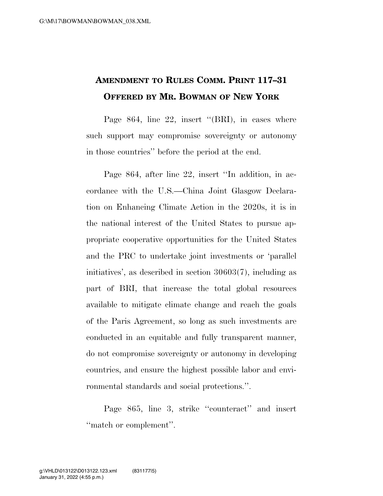## **AMENDMENT TO RULES COMM. PRINT 117–31 OFFERED BY MR. BOWMAN OF NEW YORK**

Page 864, line 22, insert "(BRI), in cases where such support may compromise sovereignty or autonomy in those countries'' before the period at the end.

Page 864, after line 22, insert ''In addition, in accordance with the U.S.—China Joint Glasgow Declaration on Enhancing Climate Action in the 2020s, it is in the national interest of the United States to pursue appropriate cooperative opportunities for the United States and the PRC to undertake joint investments or 'parallel initiatives', as described in section 30603(7), including as part of BRI, that increase the total global resources available to mitigate climate change and reach the goals of the Paris Agreement, so long as such investments are conducted in an equitable and fully transparent manner, do not compromise sovereignty or autonomy in developing countries, and ensure the highest possible labor and environmental standards and social protections.''.

Page 865, line 3, strike ''counteract'' and insert ''match or complement''.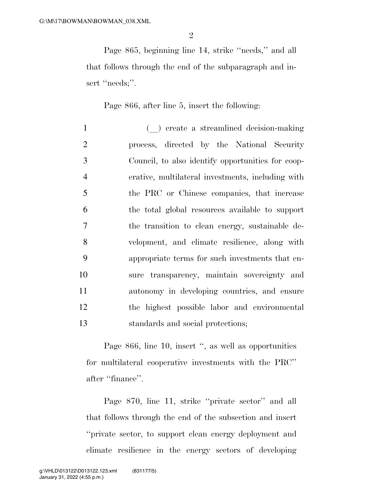Page 865, beginning line 14, strike ''needs,'' and all that follows through the end of the subparagraph and insert "needs;".

Page 866, after line 5, insert the following:

1 (a) create a streamlined decision-making process, directed by the National Security Council, to also identify opportunities for coop- erative, multilateral investments, including with the PRC or Chinese companies, that increase the total global resources available to support the transition to clean energy, sustainable de- velopment, and climate resilience, along with appropriate terms for such investments that en- sure transparency, maintain sovereignty and autonomy in developing countries, and ensure the highest possible labor and environmental standards and social protections;

Page 866, line 10, insert '', as well as opportunities for multilateral cooperative investments with the PRC'' after ''finance''.

Page 870, line 11, strike ''private sector'' and all that follows through the end of the subsection and insert ''private sector, to support clean energy deployment and climate resilience in the energy sectors of developing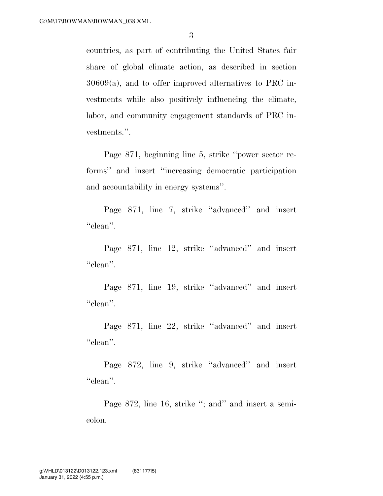countries, as part of contributing the United States fair share of global climate action, as described in section 30609(a), and to offer improved alternatives to PRC investments while also positively influencing the climate, labor, and community engagement standards of PRC investments.''.

Page 871, beginning line 5, strike ''power sector reforms'' and insert ''increasing democratic participation and accountability in energy systems''.

Page 871, line 7, strike ''advanced'' and insert "clean".

Page 871, line 12, strike ''advanced'' and insert "clean".

Page 871, line 19, strike ''advanced'' and insert "clean".

Page 871, line 22, strike ''advanced'' and insert "clean".

Page 872, line 9, strike ''advanced'' and insert "clean".

Page 872, line 16, strike "; and" and insert a semicolon.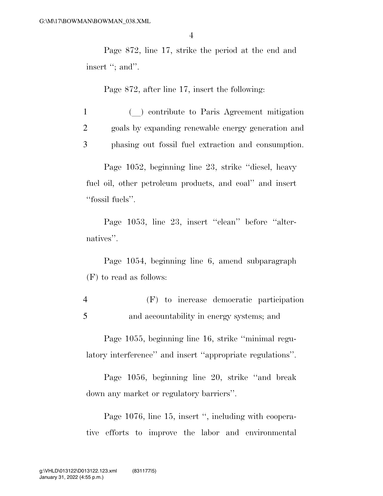Page 872, line 17, strike the period at the end and insert "; and".

Page 872, after line 17, insert the following:

<sup>1</sup> (l) contribute to Paris Agreement mitigation 2 goals by expanding renewable energy generation and 3 phasing out fossil fuel extraction and consumption.

Page 1052, beginning line 23, strike ''diesel, heavy fuel oil, other petroleum products, and coal'' and insert ''fossil fuels''.

Page 1053, line 23, insert "clean" before "alternatives''.

Page 1054, beginning line 6, amend subparagraph (F) to read as follows:

4 (F) to increase democratic participation 5 and accountability in energy systems; and

Page 1055, beginning line 16, strike ''minimal regulatory interference'' and insert ''appropriate regulations''.

Page 1056, beginning line 20, strike ''and break down any market or regulatory barriers''.

Page 1076, line 15, insert ", including with cooperative efforts to improve the labor and environmental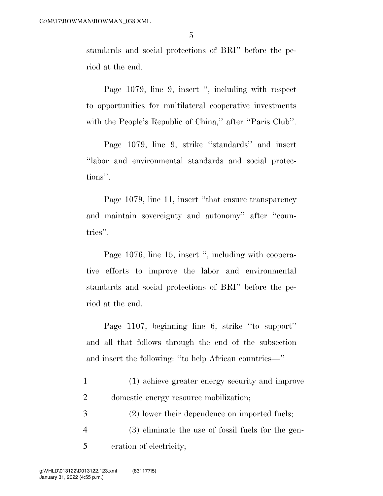standards and social protections of BRI'' before the period at the end.

Page 1079, line 9, insert '', including with respect to opportunities for multilateral cooperative investments with the People's Republic of China," after "Paris Club".

Page 1079, line 9, strike ''standards'' and insert ''labor and environmental standards and social protections''.

Page 1079, line 11, insert ''that ensure transparency and maintain sovereignty and autonomy'' after ''countries''.

Page 1076, line 15, insert '', including with cooperative efforts to improve the labor and environmental standards and social protections of BRI'' before the period at the end.

Page 1107, beginning line 6, strike ''to support'' and all that follows through the end of the subsection and insert the following: ''to help African countries—''

| (1) achieve greater energy security and improve |
|-------------------------------------------------|
| domestic energy resource mobilization;          |

- 3 (2) lower their dependence on imported fuels;
- 4 (3) eliminate the use of fossil fuels for the gen-5 eration of electricity;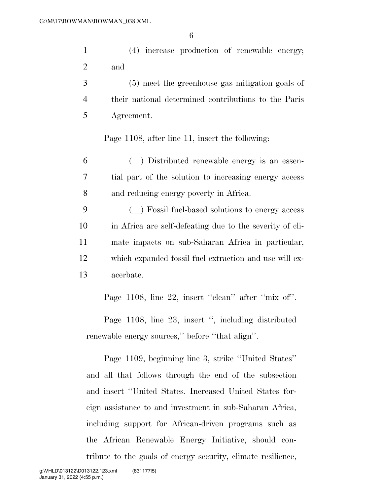6

1 (4) increase production of renewable energy; 2 and

3 (5) meet the greenhouse gas mitigation goals of 4 their national determined contributions to the Paris 5 Agreement.

Page 1108, after line 11, insert the following:

<sup>6</sup> (l) Distributed renewable energy is an essen-7 tial part of the solution to increasing energy access 8 and reducing energy poverty in Africa.

 (l) Fossil fuel-based solutions to energy access in Africa are self-defeating due to the severity of cli- mate impacts on sub-Saharan Africa in particular, which expanded fossil fuel extraction and use will ex-acerbate.

Page 1108, line 22, insert "clean" after "mix of".

Page 1108, line 23, insert ", including distributed renewable energy sources,'' before ''that align''.

Page 1109, beginning line 3, strike ''United States'' and all that follows through the end of the subsection and insert ''United States. Increased United States foreign assistance to and investment in sub-Saharan Africa, including support for African-driven programs such as the African Renewable Energy Initiative, should contribute to the goals of energy security, climate resilience,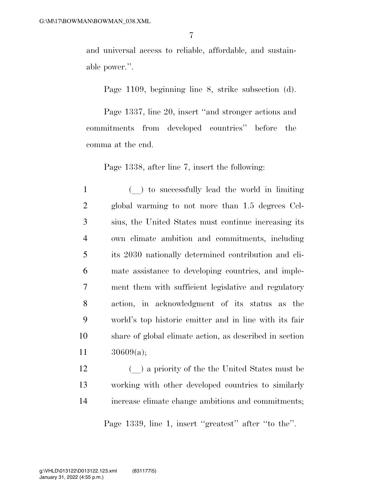and universal access to reliable, affordable, and sustainable power.''.

Page 1109, beginning line 8, strike subsection (d).

Page 1337, line 20, insert ''and stronger actions and commitments from developed countries'' before the comma at the end.

Page 1338, after line 7, insert the following:

1 (a) to successfully lead the world in limiting global warming to not more than 1.5 degrees Cel- sius, the United States must continue increasing its own climate ambition and commitments, including its 2030 nationally determined contribution and cli- mate assistance to developing countries, and imple- ment them with sufficient legislative and regulatory action, in acknowledgment of its status as the world's top historic emitter and in line with its fair share of global climate action, as described in section 30609(a);

12 (a) a priority of the the United States must be 13 working with other developed countries to similarly 14 increase climate change ambitions and commitments;

Page 1339, line 1, insert ''greatest'' after ''to the''.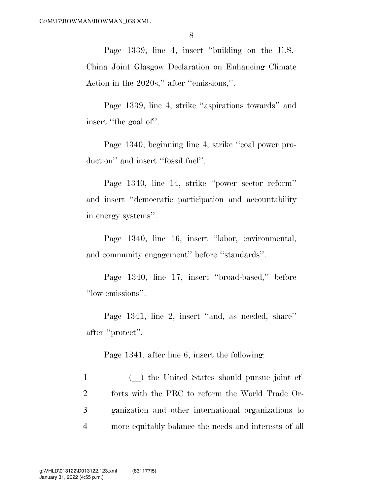Page 1339, line 4, insert ''building on the U.S.- China Joint Glasgow Declaration on Enhancing Climate Action in the 2020s,'' after ''emissions,''.

Page 1339, line 4, strike ''aspirations towards'' and insert ''the goal of''.

Page 1340, beginning line 4, strike ''coal power production'' and insert ''fossil fuel''.

Page 1340, line 14, strike ''power sector reform'' and insert ''democratic participation and accountability in energy systems''.

Page 1340, line 16, insert "labor, environmental, and community engagement'' before ''standards''.

Page 1340, line 17, insert ''broad-based,'' before ''low-emissions''.

Page 1341, line 2, insert ''and, as needed, share'' after ''protect''.

Page 1341, after line 6, insert the following:

1 (a) the United States should pursue joint ef- forts with the PRC to reform the World Trade Or- ganization and other international organizations to more equitably balance the needs and interests of all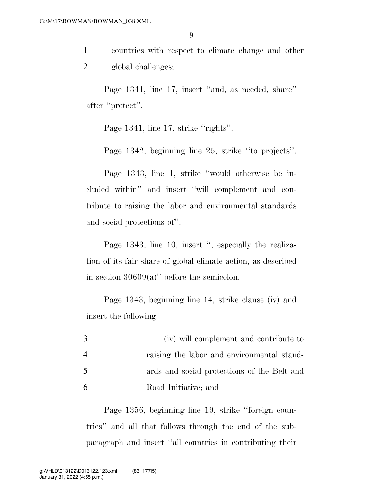1 countries with respect to climate change and other 2 global challenges;

Page 1341, line 17, insert "and, as needed, share" after ''protect''.

Page 1341, line 17, strike "rights".

Page 1342, beginning line 25, strike ''to projects''.

Page 1343, line 1, strike ''would otherwise be included within'' and insert ''will complement and contribute to raising the labor and environmental standards and social protections of''.

Page 1343, line 10, insert ", especially the realization of its fair share of global climate action, as described in section  $30609(a)$ " before the semicolon.

Page 1343, beginning line 14, strike clause (iv) and insert the following:

| 3 | (iv) will complement and contribute to      |
|---|---------------------------------------------|
| 4 | raising the labor and environmental stand-  |
| 5 | ards and social protections of the Belt and |
| 6 | Road Initiative; and                        |

Page 1356, beginning line 19, strike ''foreign countries'' and all that follows through the end of the subparagraph and insert ''all countries in contributing their